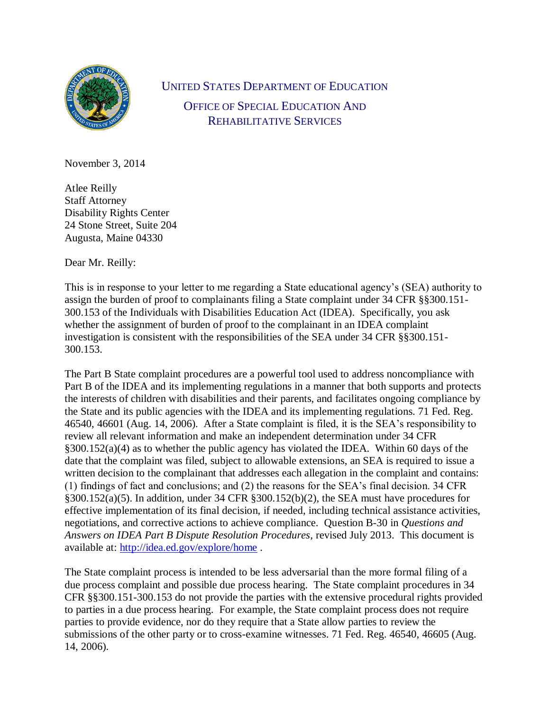

UNITED STATES DEPARTMENT OF EDUCATION OFFICE OF SPECIAL EDUCATION AND REHABILITATIVE SERVICES

November 3, 2014

Atlee Reilly Staff Attorney Disability Rights Center 24 Stone Street, Suite 204 Augusta, Maine 04330

Dear Mr. Reilly:

This is in response to your letter to me regarding a State educational agency's (SEA) authority to assign the burden of proof to complainants filing a State complaint under 34 CFR §§300.151- 300.153 of the Individuals with Disabilities Education Act (IDEA). Specifically, you ask whether the assignment of burden of proof to the complainant in an IDEA complaint investigation is consistent with the responsibilities of the SEA under 34 CFR §§300.151- 300.153.

The Part B State complaint procedures are a powerful tool used to address noncompliance with Part B of the IDEA and its implementing regulations in a manner that both supports and protects the interests of children with disabilities and their parents, and facilitates ongoing compliance by the State and its public agencies with the IDEA and its implementing regulations. 71 Fed. Reg. 46540, 46601 (Aug. 14, 2006). After a State complaint is filed, it is the SEA's responsibility to review all relevant information and make an independent determination under 34 CFR §300.152(a)(4) as to whether the public agency has violated the IDEA. Within 60 days of the date that the complaint was filed, subject to allowable extensions, an SEA is required to issue a written decision to the complainant that addresses each allegation in the complaint and contains: (1) findings of fact and conclusions; and (2) the reasons for the SEA's final decision. 34 CFR §300.152(a)(5). In addition, under 34 CFR §300.152(b)(2), the SEA must have procedures for effective implementation of its final decision, if needed, including technical assistance activities, negotiations, and corrective actions to achieve compliance. Question B-30 in *Questions and Answers on IDEA Part B Dispute Resolution Procedures*, revised July 2013. This document is available at:<http://idea.ed.gov/explore/home> .

The State complaint process is intended to be less adversarial than the more formal filing of a due process complaint and possible due process hearing. The State complaint procedures in 34 CFR §§300.151-300.153 do not provide the parties with the extensive procedural rights provided to parties in a due process hearing. For example, the State complaint process does not require parties to provide evidence, nor do they require that a State allow parties to review the submissions of the other party or to cross-examine witnesses. 71 Fed. Reg. 46540, 46605 (Aug. 14, 2006).